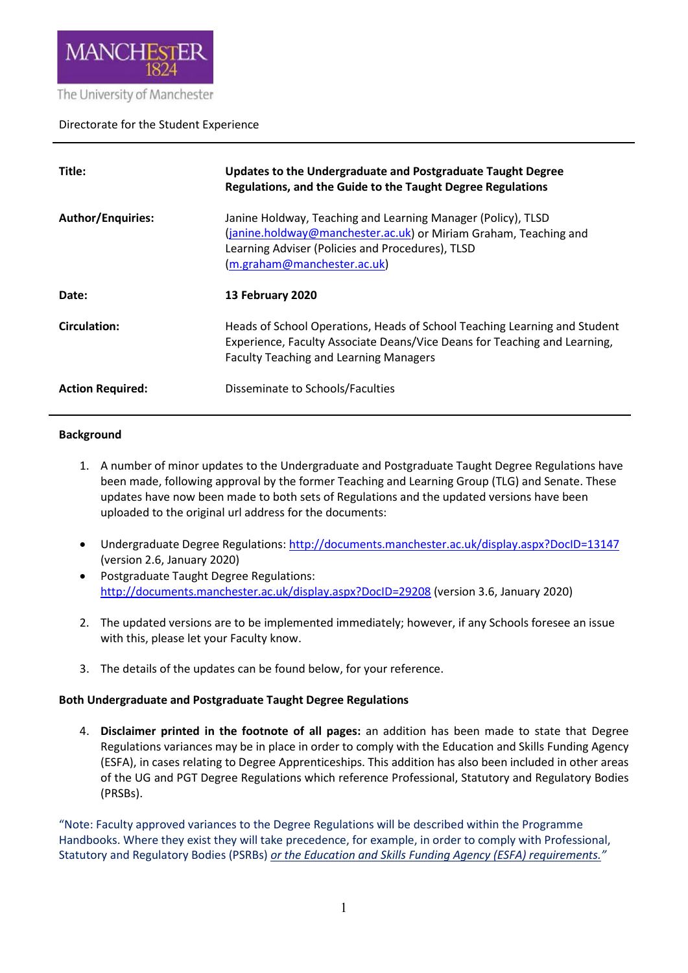

# Directorate for the Student Experience

| Title:                   | Updates to the Undergraduate and Postgraduate Taught Degree<br>Regulations, and the Guide to the Taught Degree Regulations                                                                                          |
|--------------------------|---------------------------------------------------------------------------------------------------------------------------------------------------------------------------------------------------------------------|
| <b>Author/Enquiries:</b> | Janine Holdway, Teaching and Learning Manager (Policy), TLSD<br>(janine.holdway@manchester.ac.uk) or Miriam Graham, Teaching and<br>Learning Adviser (Policies and Procedures), TLSD<br>(m.graham@manchester.ac.uk) |
| Date:                    | 13 February 2020                                                                                                                                                                                                    |
| Circulation:             | Heads of School Operations, Heads of School Teaching Learning and Student<br>Experience, Faculty Associate Deans/Vice Deans for Teaching and Learning,<br><b>Faculty Teaching and Learning Managers</b>             |
| <b>Action Required:</b>  | Disseminate to Schools/Faculties                                                                                                                                                                                    |

### **Background**

- 1. A number of minor updates to the Undergraduate and Postgraduate Taught Degree Regulations have been made, following approval by the former Teaching and Learning Group (TLG) and Senate. These updates have now been made to both sets of Regulations and the updated versions have been uploaded to the original url address for the documents:
- Undergraduate Degree Regulations:<http://documents.manchester.ac.uk/display.aspx?DocID=13147> (version 2.6, January 2020)
- Postgraduate Taught Degree Regulations: <http://documents.manchester.ac.uk/display.aspx?DocID=29208> (version 3.6, January 2020)
- 2. The updated versions are to be implemented immediately; however, if any Schools foresee an issue with this, please let your Faculty know.
- 3. The details of the updates can be found below, for your reference.

### **Both Undergraduate and Postgraduate Taught Degree Regulations**

4. **Disclaimer printed in the footnote of all pages:** an addition has been made to state that Degree Regulations variances may be in place in order to comply with the Education and Skills Funding Agency (ESFA), in cases relating to Degree Apprenticeships. This addition has also been included in other areas of the UG and PGT Degree Regulations which reference Professional, Statutory and Regulatory Bodies (PRSBs).

"Note: Faculty approved variances to the Degree Regulations will be described within the Programme Handbooks. Where they exist they will take precedence, for example, in order to comply with Professional, Statutory and Regulatory Bodies (PSRBs) *or the Education and Skills Funding Agency (ESFA) requirements."*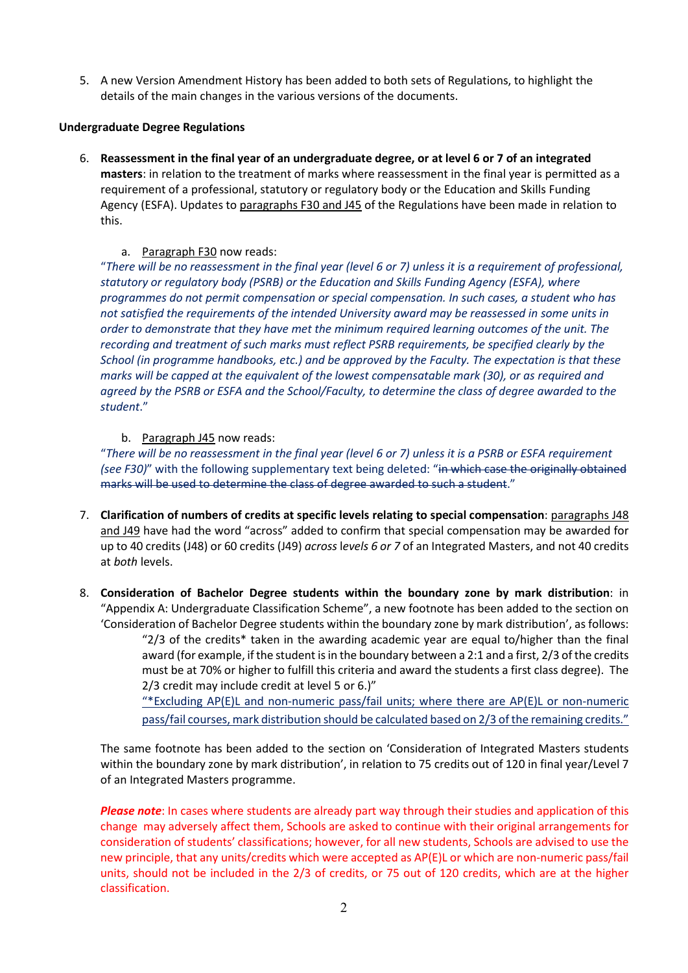5. A new Version Amendment History has been added to both sets of Regulations, to highlight the details of the main changes in the various versions of the documents.

### **Undergraduate Degree Regulations**

- 6. **Reassessment in the final year of an undergraduate degree, or at level 6 or 7 of an integrated masters**: in relation to the treatment of marks where reassessment in the final year is permitted as a requirement of a professional, statutory or regulatory body or the Education and Skills Funding Agency (ESFA). Updates to paragraphs F30 and J45 of the Regulations have been made in relation to this.
	- a. Paragraph F30 now reads:

"*There will be no reassessment in the final year (level 6 or 7) unless it is a requirement of professional, statutory or regulatory body (PSRB) or the Education and Skills Funding Agency (ESFA), where programmes do not permit compensation or special compensation. In such cases, a student who has not satisfied the requirements of the intended University award may be reassessed in some units in order to demonstrate that they have met the minimum required learning outcomes of the unit. The recording and treatment of such marks must reflect PSRB requirements, be specified clearly by the School (in programme handbooks, etc.) and be approved by the Faculty. The expectation is that these marks will be capped at the equivalent of the lowest compensatable mark (30), or as required and agreed by the PSRB or ESFA and the School/Faculty, to determine the class of degree awarded to the student*."

# b. Paragraph J45 now reads:

"*There will be no reassessment in the final year (level 6 or 7) unless it is a PSRB or ESFA requirement (see F30)*" with the following supplementary text being deleted: "in which case the originally obtained marks will be used to determine the class of degree awarded to such a student."

- 7. **Clarification of numbers of credits at specific levels relating to special compensation**: paragraphs J48 and J49 have had the word "across" added to confirm that special compensation may be awarded for up to 40 credits (J48) or 60 credits (J49) *across* l*evels 6 or 7* of an Integrated Masters, and not 40 credits at *both* levels.
- 8. **Consideration of Bachelor Degree students within the boundary zone by mark distribution**: in "Appendix A: Undergraduate Classification Scheme", a new footnote has been added to the section on 'Consideration of Bachelor Degree students within the boundary zone by mark distribution', as follows: "2/3 of the credits\* taken in the awarding academic year are equal to/higher than the final

award (for example, if the student is in the boundary between a 2:1 and a first, 2/3 of the credits must be at 70% or higher to fulfill this criteria and award the students a first class degree). The 2/3 credit may include credit at level 5 or 6.)"

"\*Excluding AP(E)L and non-numeric pass/fail units; where there are AP(E)L or non-numeric pass/fail courses, mark distribution should be calculated based on 2/3 of the remaining credits."

The same footnote has been added to the section on 'Consideration of Integrated Masters students within the boundary zone by mark distribution', in relation to 75 credits out of 120 in final year/Level 7 of an Integrated Masters programme.

*Please note*: In cases where students are already part way through their studies and application of this change may adversely affect them, Schools are asked to continue with their original arrangements for consideration of students' classifications; however, for all new students, Schools are advised to use the new principle, that any units/credits which were accepted as AP(E)L or which are non-numeric pass/fail units, should not be included in the 2/3 of credits, or 75 out of 120 credits, which are at the higher classification.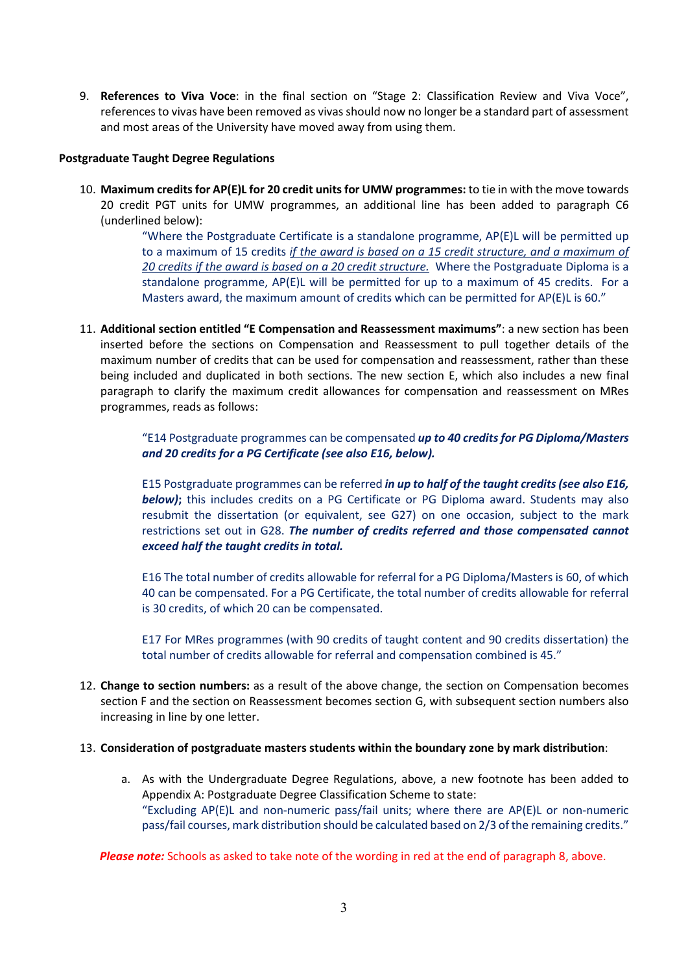9. **References to Viva Voce**: in the final section on "Stage 2: Classification Review and Viva Voce", references to vivas have been removed as vivas should now no longer be a standard part of assessment and most areas of the University have moved away from using them.

### **Postgraduate Taught Degree Regulations**

10. **Maximum credits for AP(E)L for 20 credit units for UMW programmes:** to tie in with the move towards 20 credit PGT units for UMW programmes, an additional line has been added to paragraph C6 (underlined below):

> "Where the Postgraduate Certificate is a standalone programme,  $AP(E)$ L will be permitted up to a maximum of 15 credits *if the award is based on a 15 credit structure, and a maximum of 20 credits if the award is based on a 20 credit structure.* Where the Postgraduate Diploma is a standalone programme, AP(E)L will be permitted for up to a maximum of 45 credits. For a Masters award, the maximum amount of credits which can be permitted for AP(E)L is 60."

11. **Additional section entitled "E Compensation and Reassessment maximums"**: a new section has been inserted before the sections on Compensation and Reassessment to pull together details of the maximum number of credits that can be used for compensation and reassessment, rather than these being included and duplicated in both sections. The new section E, which also includes a new final paragraph to clarify the maximum credit allowances for compensation and reassessment on MRes programmes, reads as follows:

> "E14 Postgraduate programmes can be compensated *up to 40 credits for PG Diploma/Masters and 20 credits for a PG Certificate (see also E16, below).*

> E15 Postgraduate programmes can be referred *in up to half of the taught credits (see also E16,*  **below)**; this includes credits on a PG Certificate or PG Diploma award. Students may also resubmit the dissertation (or equivalent, see G27) on one occasion, subject to the mark restrictions set out in G28. *The number of credits referred and those compensated cannot exceed half the taught credits in total.*

> E16 The total number of credits allowable for referral for a PG Diploma/Masters is 60, of which 40 can be compensated. For a PG Certificate, the total number of credits allowable for referral is 30 credits, of which 20 can be compensated.

> E17 For MRes programmes (with 90 credits of taught content and 90 credits dissertation) the total number of credits allowable for referral and compensation combined is 45."

12. **Change to section numbers:** as a result of the above change, the section on Compensation becomes section F and the section on Reassessment becomes section G, with subsequent section numbers also increasing in line by one letter.

### 13. **Consideration of postgraduate masters students within the boundary zone by mark distribution**:

a. As with the Undergraduate Degree Regulations, above, a new footnote has been added to Appendix A: Postgraduate Degree Classification Scheme to state: "Excluding  $AP(E)$ L and non-numeric pass/fail units; where there are  $AP(E)$ L or non-numeric pass/fail courses, mark distribution should be calculated based on 2/3 of the remaining credits."

*Please note:* Schools as asked to take note of the wording in red at the end of paragraph 8, above.